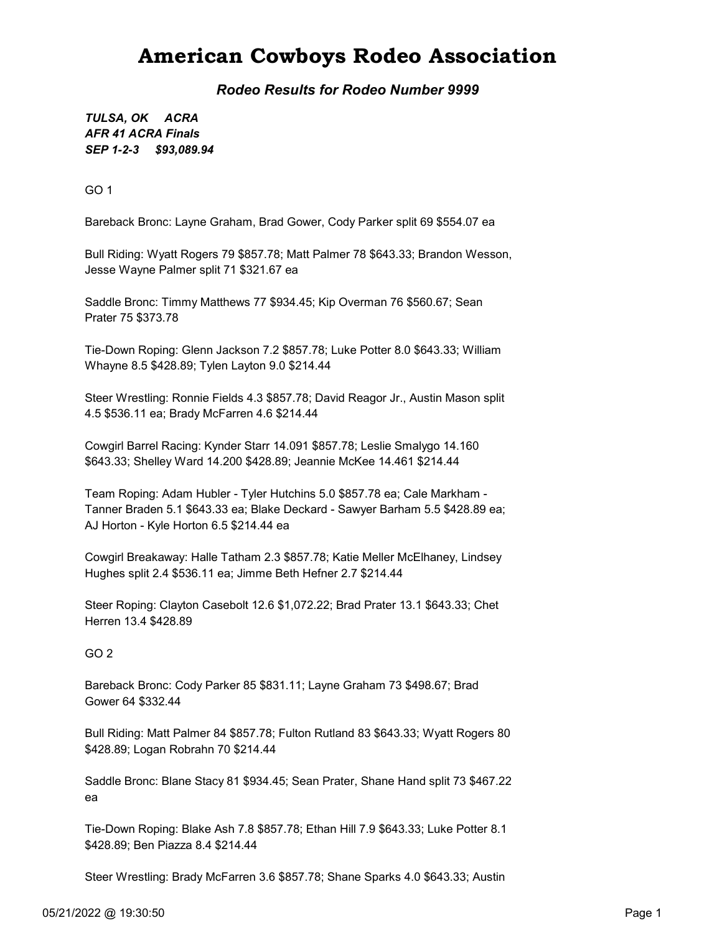## American Cowboys Rodeo Association

Rodeo Results for Rodeo Number 9999

SEP 1-2-3 \$93,089.94 TULSA, OK ACRA AFR 41 ACRA Finals

GO 1

Bareback Bronc: Layne Graham, Brad Gower, Cody Parker split 69 \$554.07 ea

Bull Riding: Wyatt Rogers 79 \$857.78; Matt Palmer 78 \$643.33; Brandon Wesson, Jesse Wayne Palmer split 71 \$321.67 ea

Saddle Bronc: Timmy Matthews 77 \$934.45; Kip Overman 76 \$560.67; Sean Prater 75 \$373.78

Tie-Down Roping: Glenn Jackson 7.2 \$857.78; Luke Potter 8.0 \$643.33; William Whayne 8.5 \$428.89; Tylen Layton 9.0 \$214.44

Steer Wrestling: Ronnie Fields 4.3 \$857.78; David Reagor Jr., Austin Mason split 4.5 \$536.11 ea; Brady McFarren 4.6 \$214.44

Cowgirl Barrel Racing: Kynder Starr 14.091 \$857.78; Leslie Smalygo 14.160 \$643.33; Shelley Ward 14.200 \$428.89; Jeannie McKee 14.461 \$214.44

Team Roping: Adam Hubler - Tyler Hutchins 5.0 \$857.78 ea; Cale Markham - Tanner Braden 5.1 \$643.33 ea; Blake Deckard - Sawyer Barham 5.5 \$428.89 ea; AJ Horton - Kyle Horton 6.5 \$214.44 ea

Cowgirl Breakaway: Halle Tatham 2.3 \$857.78; Katie Meller McElhaney, Lindsey Hughes split 2.4 \$536.11 ea; Jimme Beth Hefner 2.7 \$214.44

Steer Roping: Clayton Casebolt 12.6 \$1,072.22; Brad Prater 13.1 \$643.33; Chet Herren 13.4 \$428.89

GO 2

Bareback Bronc: Cody Parker 85 \$831.11; Layne Graham 73 \$498.67; Brad Gower 64 \$332.44

Bull Riding: Matt Palmer 84 \$857.78; Fulton Rutland 83 \$643.33; Wyatt Rogers 80 \$428.89; Logan Robrahn 70 \$214.44

Saddle Bronc: Blane Stacy 81 \$934.45; Sean Prater, Shane Hand split 73 \$467.22 ea

Tie-Down Roping: Blake Ash 7.8 \$857.78; Ethan Hill 7.9 \$643.33; Luke Potter 8.1 \$428.89; Ben Piazza 8.4 \$214.44

Steer Wrestling: Brady McFarren 3.6 \$857.78; Shane Sparks 4.0 \$643.33; Austin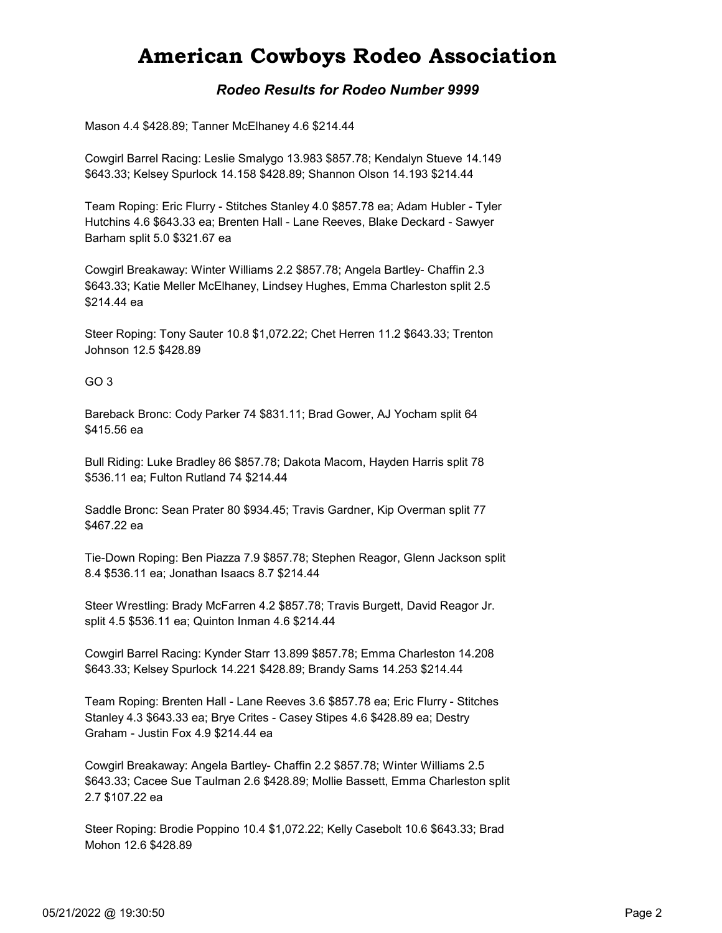# American Cowboys Rodeo Association

### Rodeo Results for Rodeo Number 9999

Mason 4.4 \$428.89; Tanner McElhaney 4.6 \$214.44

Cowgirl Barrel Racing: Leslie Smalygo 13.983 \$857.78; Kendalyn Stueve 14.149 \$643.33; Kelsey Spurlock 14.158 \$428.89; Shannon Olson 14.193 \$214.44

Team Roping: Eric Flurry - Stitches Stanley 4.0 \$857.78 ea; Adam Hubler - Tyler Hutchins 4.6 \$643.33 ea; Brenten Hall - Lane Reeves, Blake Deckard - Sawyer Barham split 5.0 \$321.67 ea

Cowgirl Breakaway: Winter Williams 2.2 \$857.78; Angela Bartley- Chaffin 2.3 \$643.33; Katie Meller McElhaney, Lindsey Hughes, Emma Charleston split 2.5 \$214.44 ea

Steer Roping: Tony Sauter 10.8 \$1,072.22; Chet Herren 11.2 \$643.33; Trenton Johnson 12.5 \$428.89

#### GO 3

Bareback Bronc: Cody Parker 74 \$831.11; Brad Gower, AJ Yocham split 64 \$415.56 ea

Bull Riding: Luke Bradley 86 \$857.78; Dakota Macom, Hayden Harris split 78 \$536.11 ea; Fulton Rutland 74 \$214.44

Saddle Bronc: Sean Prater 80 \$934.45; Travis Gardner, Kip Overman split 77 \$467.22 ea

Tie-Down Roping: Ben Piazza 7.9 \$857.78; Stephen Reagor, Glenn Jackson split 8.4 \$536.11 ea; Jonathan Isaacs 8.7 \$214.44

Steer Wrestling: Brady McFarren 4.2 \$857.78; Travis Burgett, David Reagor Jr. split 4.5 \$536.11 ea; Quinton Inman 4.6 \$214.44

Cowgirl Barrel Racing: Kynder Starr 13.899 \$857.78; Emma Charleston 14.208 \$643.33; Kelsey Spurlock 14.221 \$428.89; Brandy Sams 14.253 \$214.44

Team Roping: Brenten Hall - Lane Reeves 3.6 \$857.78 ea; Eric Flurry - Stitches Stanley 4.3 \$643.33 ea; Brye Crites - Casey Stipes 4.6 \$428.89 ea; Destry Graham - Justin Fox 4.9 \$214.44 ea

Cowgirl Breakaway: Angela Bartley- Chaffin 2.2 \$857.78; Winter Williams 2.5 \$643.33; Cacee Sue Taulman 2.6 \$428.89; Mollie Bassett, Emma Charleston split 2.7 \$107.22 ea

Steer Roping: Brodie Poppino 10.4 \$1,072.22; Kelly Casebolt 10.6 \$643.33; Brad Mohon 12.6 \$428.89